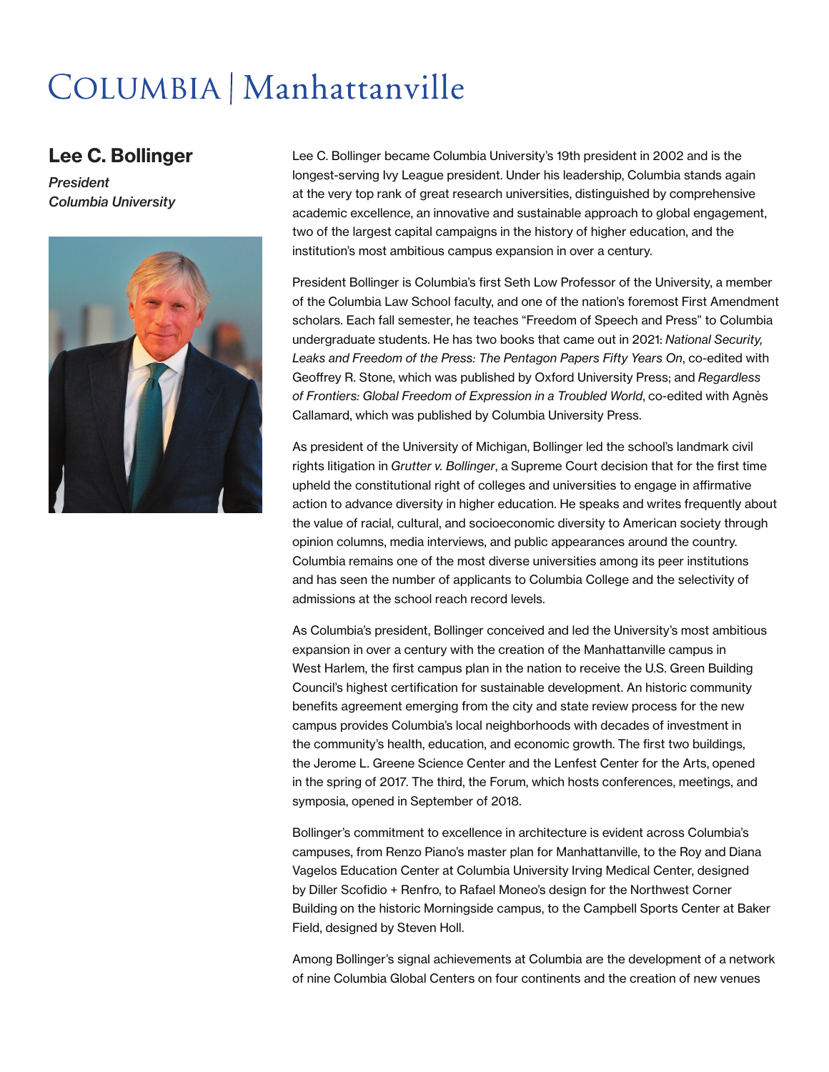## COLUMBIA | Manhattanville

## Lee C. Bollinger

*President Columbia University*



Lee C. Bollinger became Columbia University's 19th president in 2002 and is the longest-serving Ivy League president. Under his leadership, Columbia stands again at the very top rank of great research universities, distinguished by comprehensive academic excellence, an innovative and sustainable approach to global engagement, two of the largest capital campaigns in the history of higher education, and the institution's most ambitious campus expansion in over a century.

President Bollinger is Columbia's first Seth Low Professor of the University, a member of the Columbia Law School faculty, and one of the nation's foremost First Amendment scholars. Each fall semester, he teaches "Freedom of Speech and Press" to Columbia undergraduate students. He has two books that came out in 2021: *National Security, Leaks and Freedom of the Press: The Pentagon Papers Fifty Years On*, co-edited with Geoffrey R. Stone, which was published by Oxford University Press; and *Regardless of Frontiers: Global Freedom of Expression in a Troubled World*, co-edited with Agnès Callamard, which was published by Columbia University Press.

As president of the University of Michigan, Bollinger led the school's landmark civil rights litigation in *Grutter v. Bollinger*, a Supreme Court decision that for the first time upheld the constitutional right of colleges and universities to engage in affirmative action to advance diversity in higher education. He speaks and writes frequently about the value of racial, cultural, and socioeconomic diversity to American society through opinion columns, media interviews, and public appearances around the country. Columbia remains one of the most diverse universities among its peer institutions and has seen the number of applicants to Columbia College and the selectivity of admissions at the school reach record levels.

As Columbia's president, Bollinger conceived and led the University's most ambitious expansion in over a century with the creation of the Manhattanville campus in West Harlem, the first campus plan in the nation to receive the U.S. Green Building Council's highest certification for sustainable development. An historic community benefits agreement emerging from the city and state review process for the new campus provides Columbia's local neighborhoods with decades of investment in the community's health, education, and economic growth. The first two buildings, the Jerome L. Greene Science Center and the Lenfest Center for the Arts, opened in the spring of 2017. The third, the Forum, which hosts conferences, meetings, and symposia, opened in September of 2018.

Bollinger's commitment to excellence in architecture is evident across Columbia's campuses, from Renzo Piano's master plan for Manhattanville, to the Roy and Diana Vagelos Education Center at Columbia University Irving Medical Center, designed by Diller Scofidio + Renfro, to Rafael Moneo's design for the Northwest Corner Building on the historic Morningside campus, to the Campbell Sports Center at Baker Field, designed by Steven Holl.

Among Bollinger's signal achievements at Columbia are the development of a network of nine Columbia Global Centers on four continents and the creation of new venues